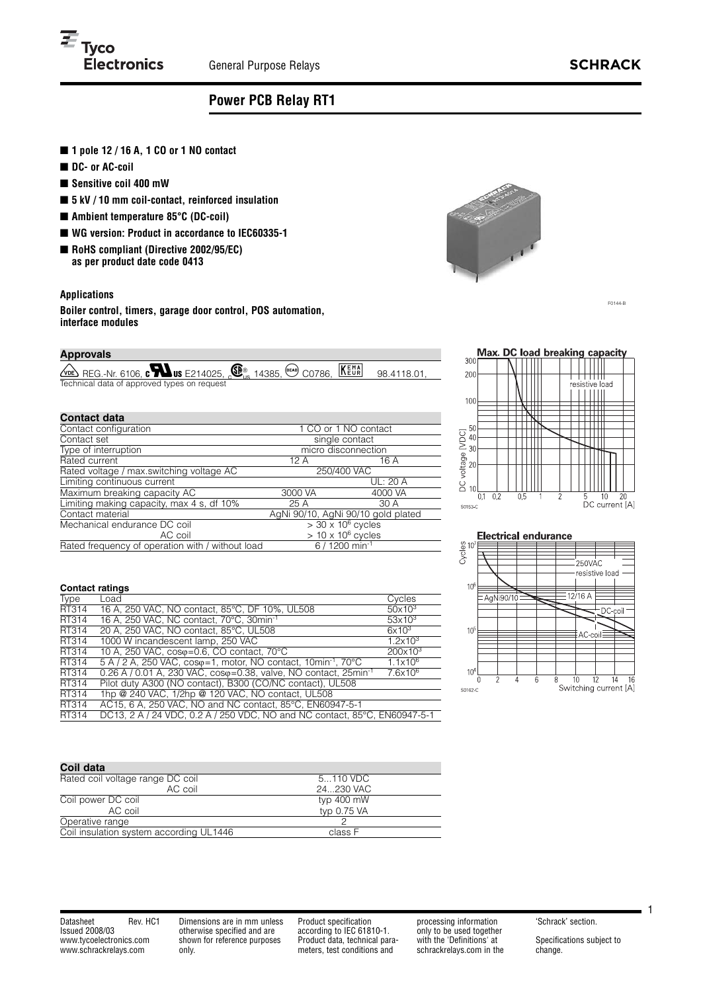

# **Power PCB Relay RT1**

- 1 pole 12 / 16 A, 1 CO or 1 NO contact
- DC- or AC-coil
- **Sensitive coil 400 mW**
- **5 kV / 10 mm coil-contact, reinforced insulation**
- **Ambient temperature 85°C (DC-coil)**
- WG version: Product in accordance to IEC60335-1
- **RoHS compliant (Directive 2002/95/EC) as per product date code 0413**

## **Applications**

**Boiler control, timers, garage door control, POS automation, interface modules**

## **Approvals**

| <b>EXERUS AND SECOND CONTROVER SECONDED</b> OF RESPONSIVE AND RELATION <b>SECONDED</b> 98.4118.01, |  |  |
|----------------------------------------------------------------------------------------------------|--|--|
| Technical data of approved types on request                                                        |  |  |

### **Contact data**

| Goniaci uala                                     |                           |                                    |  |
|--------------------------------------------------|---------------------------|------------------------------------|--|
| Contact configuration                            | 1 CO or 1 NO contact      |                                    |  |
| Contact set                                      | single contact            |                                    |  |
| Type of interruption                             | micro disconnection       |                                    |  |
| Rated current                                    | 12 A                      | 16 A                               |  |
| Rated voltage / max.switching voltage AC         | 250/400 VAC               |                                    |  |
| Limiting continuous current                      |                           | UL: 20 A                           |  |
| Maximum breaking capacity AC                     | 3000 VA                   | 4000 VA                            |  |
| Limiting making capacity, max 4 s, df 10%        | 25 A                      | 30 A                               |  |
| Contact material                                 |                           | AgNi 90/10, AgNi 90/10 gold plated |  |
| Mechanical endurance DC coil                     |                           | $>$ 30 x 10 $\degree$ cycles       |  |
| AC coil                                          | $> 10 \times 10^6$ cycles |                                    |  |
| Rated frequency of operation with / without load |                           | $6/1200$ min <sup>-1</sup>         |  |



F0144-B





#### **Contact ratings**

| Load                                                                                    | Cycles                                                   |
|-----------------------------------------------------------------------------------------|----------------------------------------------------------|
| 16 A, 250 VAC, NO contact, 85°C, DF 10%, UL508                                          | $50x10^3$                                                |
| 16 A. 250 VAC. NC contact. 70°C. 30min <sup>-1</sup>                                    | $53\times10^3$                                           |
| 20 A, 250 VAC, NO contact, 85°C, UL508                                                  | $6x10^3$                                                 |
| 1000 W incandescent lamp, 250 VAC                                                       | $1.2 \times 10^3$                                        |
| 10 A, 250 VAC, coso=0.6, CO contact, 70°C                                               | $200x10^3$                                               |
| $5 A / 2 A$ , 250 VAC, cos $\varphi$ =1, motor, NO contact, 10min <sup>-1</sup> , 70 °C | $1.1 \times 10^{6}$                                      |
| 0.26 A / 0.01 A, 230 VAC, $cos\varphi = 0.38$ , valve, NO contact, $25min^{-1}$         | 7.6x10 <sup>6</sup>                                      |
| Pilot duty A300 (NO contact), B300 (CO/NC contact), UL508                               |                                                          |
| 1hp @ 240 VAC, 1/2hp @ 120 VAC, NO contact, UL508                                       |                                                          |
|                                                                                         |                                                          |
| DC13, 2 A / 24 VDC, 0.2 A / 250 VDC, NO and NC contact, 85°C, EN60947-5-1               |                                                          |
|                                                                                         | AC15, 6 A, 250 VAC, NO and NC contact, 85°C, EN60947-5-1 |

| Coil data                               |             |
|-----------------------------------------|-------------|
| Rated coil voltage range DC coil        | 5110 VDC    |
| AC coil                                 | 24230 VAC   |
| Coil power DC coil                      | typ 400 mW  |
| AC coil                                 | typ 0.75 VA |
| Operative range                         |             |
| Coil insulation system according UL1446 | class F     |

Datasheet Rev. HC1 Issued 2008/03 www.tycoelectronics.com www.schrackrelays.com

Dimensions are in mm unless otherwise specified and are shown for reference purposes only.

Product specification according to IEC 61810-1. Product data, technical parameters, test conditions and

processing information only to be used together with the 'Definitions' at schrackrelays.com in the 'Schrack' section.

Specifications subject to change.

1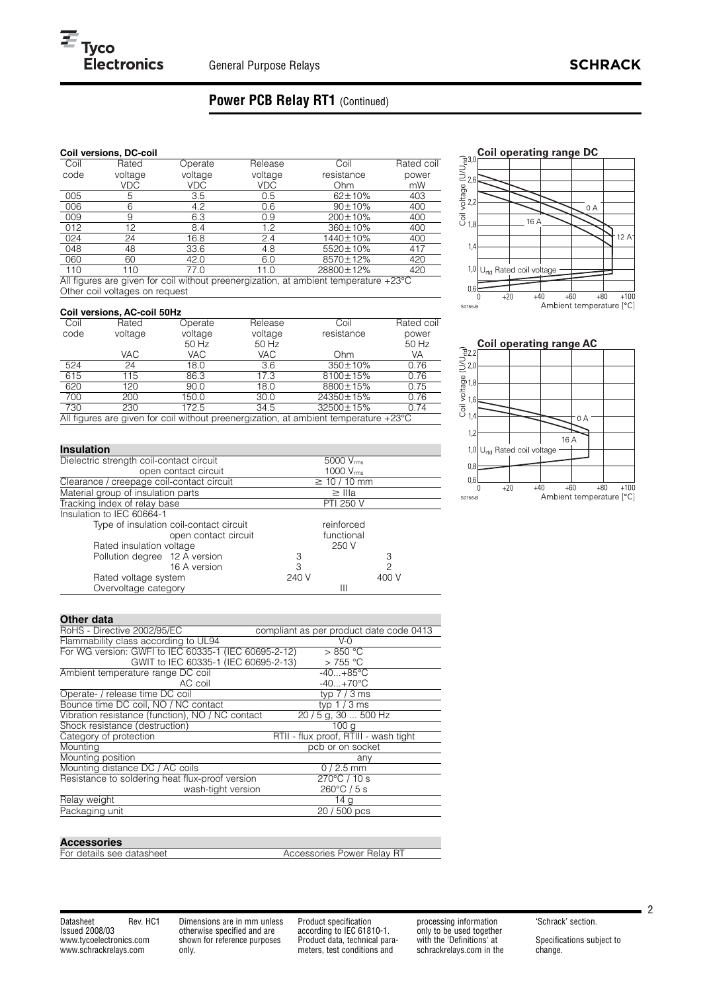## **Power PCB Relay RT1** (Continued)

### **Coil versions, DC-coil**

| Coil                            | Rated                              | Operate | Release | Coil                                                                                                            | Rated coil |
|---------------------------------|------------------------------------|---------|---------|-----------------------------------------------------------------------------------------------------------------|------------|
| code                            | voltage                            | voltage | voltage | resistance                                                                                                      | power      |
|                                 | VDC                                | VDC     | VDC     | Ohm                                                                                                             | mW         |
| 005                             | 5                                  | 3.5     | 0.5     | $62 \pm 10\%$                                                                                                   | 403        |
| 006                             | 6                                  | 4.2     | 0.6     | $90 \pm 10\%$                                                                                                   | 400        |
| 009                             | 9                                  | 6.3     | 0.9     | $200 \pm 10\%$                                                                                                  | 400        |
| 012                             | 12                                 | 8.4     | 1.2     | 360±10%                                                                                                         | 400        |
| 024                             | 24                                 | 16.8    | 2.4     | 1440±10%                                                                                                        | 400        |
| 048                             | 48                                 | 33.6    | 4.8     | 5520±10%                                                                                                        | 417        |
| 060                             | 60                                 | 42.0    | 6.0     | 8570±12%                                                                                                        | 420        |
| 110                             | 110                                | 77.0    | 11.0    | 28800±12%                                                                                                       | 420        |
| $\mathbf{A}$ and $\mathbf{C}^*$ | $\sim$ $\sim$ $\sim$ $\sim$ $\sim$ |         |         | the contract of the contract of the contract of the contract of the contract of the contract of the contract of | $\sim$     |

All figures are given for coil without preenergization, at ambient temperature +23°C Other coil voltages on request

#### **Coil versions, AC-coil 50Hz**

| <u>sen foroishoffic sen coria</u>                                                              |         |         |         |                |            |  |
|------------------------------------------------------------------------------------------------|---------|---------|---------|----------------|------------|--|
| Coil                                                                                           | Rated   | Operate | Release | Coil           | Rated coil |  |
| code                                                                                           | voltage | voltage | voltage | resistance     | power      |  |
|                                                                                                |         | 50 Hz   | 50 Hz   |                | 50 Hz      |  |
|                                                                                                | VAC.    | VAC     | VAC.    | Ohm            | VA         |  |
| 524                                                                                            | 24      | 18.0    | 3.6     | $350 \pm 10\%$ | 0.76       |  |
| 615                                                                                            | 115     | 86.3    | 17.3    | 8100±15%       | 0.76       |  |
| 620                                                                                            | 120     | 90.0    | 18.0    | 8800±15%       | 0.75       |  |
| 700                                                                                            | 200     | 150.0   | 30.0    | 24350±15%      | 0.76       |  |
| 730                                                                                            | 230     | 172.5   | 34.5    | 32500±15%      | 0.74       |  |
| All figures are given for coil without preenergization, at ambient temperature $+23^{\circ}$ C |         |         |         |                |            |  |

Dielectric strength coil-contact circuit 5000 Vrms open contact circuit  $\frac{1000 \text{ V}_{\text{rms}}}{\geq 10 / 10 \text{ mm}}$ Clearance / creepage coil-contact circuit  $\geq 10 / 10$ <br>Material group of insulation parts  $\geq$  IIIa Material group of insulation parts  $\geq$  IIIa<br>Tracking index of relay base PTI 250 V Tracking index of relay base **PTI 250 V** Insulation to IEC 60664-1 Type of insulation coil-contact circuit reinforced<br>open contact circuit functional open contact circuit function<br>voltage 250 V Rated insulation voltage<br>
Pollution degree 12 A version 3 Pollution degree 12 A version 3 3

16 A version 240 V 3 2<br>
19 240 V 240 V 400 V







#### **Other data**

Overvoltage category

**Insulation** 

| Uulu yala                                            |                                         |
|------------------------------------------------------|-----------------------------------------|
| RoHS - Directive 2002/95/EC                          | compliant as per product date code 0413 |
| Flammability class according to UL94                 | $V - Q$                                 |
| For WG version: GWFI to IEC 60335-1 (IEC 60695-2-12) | $>850$ °C                               |
| GWIT to IEC 60335-1 (IEC 60695-2-13)                 | $>755^{\circ}$ C                        |
| Ambient temperature range DC coil                    | $-40+85$ °C                             |
| AC coil                                              | $-40+70$ °C                             |
| Operate- / release time DC coil                      | typ $7/3$ ms                            |
| Bounce time DC coil, NO / NC contact                 | typ $1/3$ ms                            |
| Vibration resistance (function), NO / NC contact     | 20 / 5 g, 30  500 Hz                    |
| Shock resistance (destruction)                       | 100 <sub>g</sub>                        |
| Category of protection                               | RTII - flux proof, RTIII - wash tight   |
| Mounting                                             | pcb or on socket                        |
| Mounting position                                    | any                                     |
| Mounting distance DC / AC coils                      | $0/2.5$ mm                              |
| Resistance to soldering heat flux-proof version      | $270^{\circ}$ C / 10 s                  |
| wash-tight version                                   | $260^{\circ}$ C / 5 s                   |
| Relay weight                                         | 14 <sub>g</sub>                         |
| Packaging unit                                       | 20 / 500 pcs                            |
|                                                      |                                         |

Rated voltage system 240 V<br>Overvoltage category 111

#### **Accessories**

For details see datasheet Accessories Power Relay RT

Datasheet Rev. HC1 Issued 2008/03 www.tycoelectronics.com www.schrackrelays.com

Dimensions are in mm unless otherwise specified and are shown for reference purposes only.

Product specification according to IEC 61810-1. Product data, technical parameters, test conditions and

processing information only to be used together with the 'Definitions' at schrackrelays.com in the 'Schrack' section.

Specifications subject to change.

2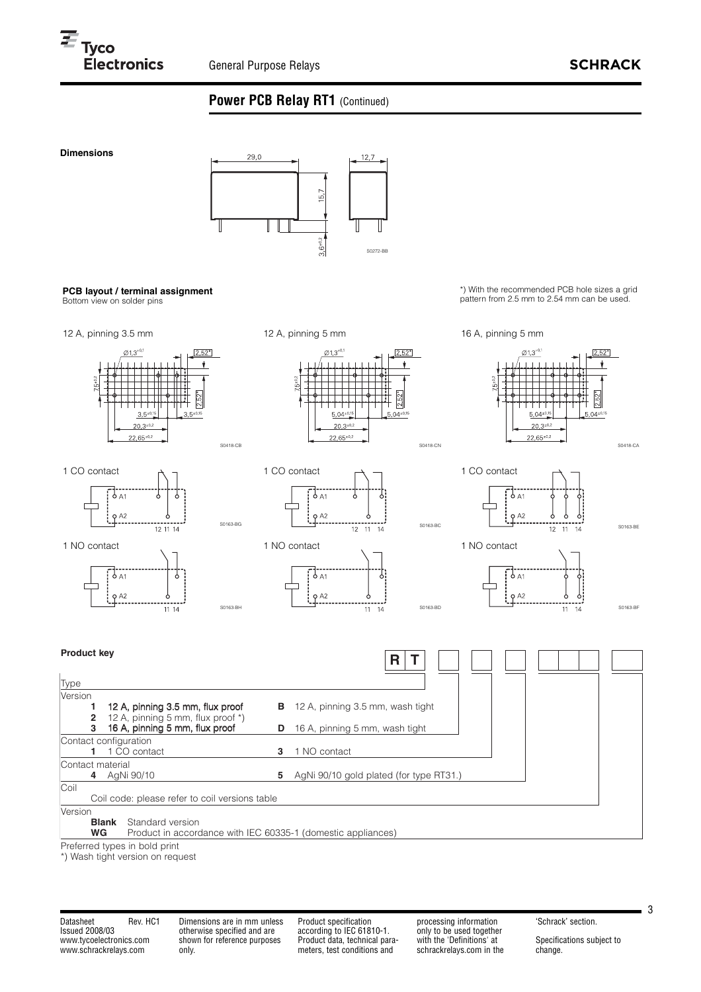## **Power PCB Relay RT1** (Continued)



Preferred types in bold print

\*) Wash tight version on request

Datasheet Rev. HC1 Issued 2008/03 www.tycoelectronics.com www.schrackrelays.com

Dimensions are in mm unless otherwise specified and are shown for reference purposes only.

Product specification according to IEC 61810-1. Product data, technical parameters, test conditions and

processing information only to be used together with the 'Definitions' at schrackrelays.com in the 'Schrack' section.

Specifications subject to change.

3